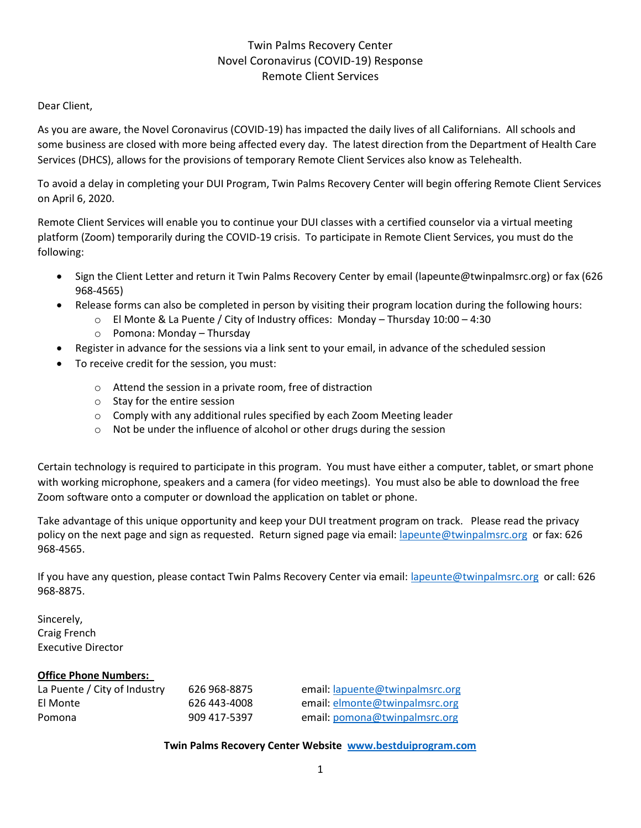### Twin Palms Recovery Center Novel Coronavirus (COVID-19) Response Remote Client Services

#### Dear Client,

As you are aware, the Novel Coronavirus (COVID-19) has impacted the daily lives of all Californians. All schools and some business are closed with more being affected every day. The latest direction from the Department of Health Care Services (DHCS), allows for the provisions of temporary Remote Client Services also know as Telehealth.

To avoid a delay in completing your DUI Program, Twin Palms Recovery Center will begin offering Remote Client Services on April 6, 2020.

Remote Client Services will enable you to continue your DUI classes with a certified counselor via a virtual meeting platform (Zoom) temporarily during the COVID-19 crisis. To participate in Remote Client Services, you must do the following:

- Sign the Client Letter and return it Twin Palms Recovery Center by email [\(lapeunte@twinpalmsrc.org\)](mailto:lapeunte@twinpalmsrc.org) or fax (626 968-4565)
- Release forms can also be completed in person by visiting their program location during the following hours:
	- o El Monte & La Puente / City of Industry offices: Monday Thursday 10:00 4:30
	- o Pomona: Monday Thursday
- Register in advance for the sessions via a link sent to your email, in advance of the scheduled session
- To receive credit for the session, you must:
	- o Attend the session in a private room, free of distraction
	- o Stay for the entire session
	- o Comply with any additional rules specified by each Zoom Meeting leader
	- o Not be under the influence of alcohol or other drugs during the session

Certain technology is required to participate in this program. You must have either a computer, tablet, or smart phone with working microphone, speakers and a camera (for video meetings). You must also be able to download the free Zoom software onto a computer or download the application on tablet or phone.

Take advantage of this unique opportunity and keep your DUI treatment program on track. Please read the privacy policy on the next page and sign as requested. Return signed page via email[: lapeunte@twinpalmsrc.org](mailto:lapeunte@twinpalmsrc.org) or fax: 626 968-4565.

If you have any question, please contact Twin Palms Recovery Center via email: [lapeunte@twinpalmsrc.org](mailto:lapeunte@twinpalmsrc.org) or call: 626 968-8875.

Sincerely, Craig French Executive Director

#### **Office Phone Numbers:**

| La Puente / City of Industry | 626 968-8875 | email: lapuente@twinpalmsrc.org |
|------------------------------|--------------|---------------------------------|
| El Monte                     | 626 443-4008 | email: elmonte@twinpalmsrc.org  |
| Pomona                       | 909 417-5397 | email: pomona@twinpalmsrc.org   |

**Twin Palms Recovery Center Website [www.bestduiprogram.com](http://www.bestduiprogram.com/)**